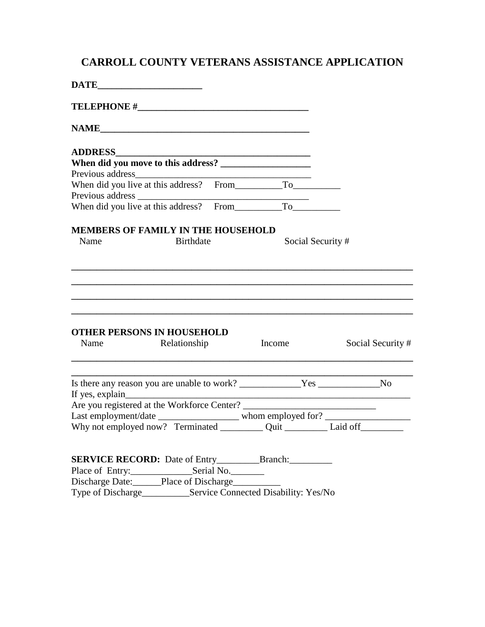## **CARROLL COUNTY VETERANS ASSISTANCE APPLICATION**

| When did you live at this address? From To                        |                  |                                                                                                                                                                         |        |                  |                   |
|-------------------------------------------------------------------|------------------|-------------------------------------------------------------------------------------------------------------------------------------------------------------------------|--------|------------------|-------------------|
|                                                                   |                  |                                                                                                                                                                         |        |                  |                   |
| MEMBERS OF FAMILY IN THE HOUSEHOLD                                |                  |                                                                                                                                                                         |        |                  |                   |
| Name                                                              | <b>Birthdate</b> |                                                                                                                                                                         |        | Social Security# |                   |
|                                                                   |                  |                                                                                                                                                                         |        |                  |                   |
|                                                                   |                  |                                                                                                                                                                         |        |                  |                   |
|                                                                   |                  |                                                                                                                                                                         |        |                  |                   |
|                                                                   |                  |                                                                                                                                                                         |        |                  |                   |
| <b>OTHER PERSONS IN HOUSEHOLD</b>                                 |                  |                                                                                                                                                                         |        |                  |                   |
| Name                                                              | Relationship     |                                                                                                                                                                         | Income |                  | Social Security # |
|                                                                   |                  |                                                                                                                                                                         |        |                  |                   |
|                                                                   |                  |                                                                                                                                                                         |        |                  |                   |
|                                                                   |                  |                                                                                                                                                                         |        |                  |                   |
|                                                                   |                  | Last employment/date ________________________ whom employed for? ________________<br>Why not employed now? Terminated ____________ Quit ____________ Laid off__________ |        |                  |                   |
|                                                                   |                  |                                                                                                                                                                         |        |                  |                   |
|                                                                   |                  |                                                                                                                                                                         |        |                  |                   |
|                                                                   |                  |                                                                                                                                                                         |        |                  |                   |
| Discharge Date: Place of Discharge                                |                  |                                                                                                                                                                         |        |                  |                   |
| Type of Discharge____________Service Connected Disability: Yes/No |                  |                                                                                                                                                                         |        |                  |                   |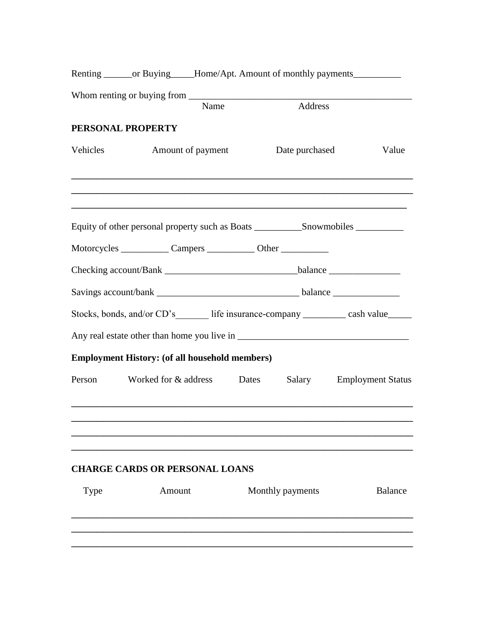|          |                                                                                   |      |                  | Renting _______ or Buying_____Home/Apt. Amount of monthly payments______________ |
|----------|-----------------------------------------------------------------------------------|------|------------------|----------------------------------------------------------------------------------|
|          |                                                                                   | Name | Address          |                                                                                  |
|          |                                                                                   |      |                  |                                                                                  |
|          | PERSONAL PROPERTY                                                                 |      |                  |                                                                                  |
| Vehicles | <b>Amount of payment</b>                                                          |      | Date purchased   | Value                                                                            |
|          |                                                                                   |      |                  |                                                                                  |
|          |                                                                                   |      |                  |                                                                                  |
|          | Motorcycles _______________ Campers _____________ Other _________________________ |      |                  |                                                                                  |
|          |                                                                                   |      |                  |                                                                                  |
|          |                                                                                   |      |                  |                                                                                  |
|          |                                                                                   |      |                  | Stocks, bonds, and/or CD's life insurance-company ________ cash value_____       |
|          |                                                                                   |      |                  |                                                                                  |
|          | <b>Employment History: (of all household members)</b>                             |      |                  |                                                                                  |
|          | Person Worked for & address Dates                                                 |      | Salary           | <b>Employment Status</b>                                                         |
|          |                                                                                   |      |                  |                                                                                  |
|          |                                                                                   |      |                  |                                                                                  |
|          | <b>CHARGE CARDS OR PERSONAL LOANS</b>                                             |      |                  |                                                                                  |
| Type     | Amount                                                                            |      | Monthly payments | <b>Balance</b>                                                                   |
|          |                                                                                   |      |                  |                                                                                  |
|          |                                                                                   |      |                  |                                                                                  |
|          |                                                                                   |      |                  |                                                                                  |